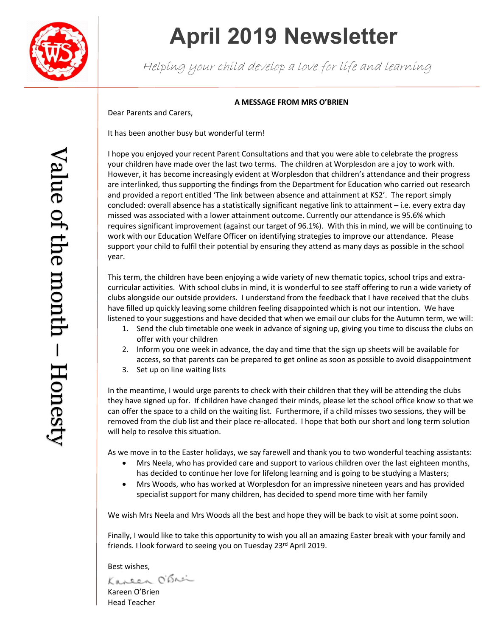

# **April 2019 Newsletter**

Helping your child develop a love for life and learning

### **A MESSAGE FROM MRS O'BRIEN**

Dear Parents and Carers,

It has been another busy but wonderful term!

I hope you enjoyed your recent Parent Consultations and that you were able to celebrate the progress your children have made over the last two terms. The children at Worplesdon are a joy to work with. However, it has become increasingly evident at Worplesdon that children's attendance and their progress are interlinked, thus supporting the findings from the Department for Education who carried out research and provided a report entitled 'The link between absence and attainment at KS2'. The report simply concluded: overall absence has a statistically significant negative link to attainment – i.e. every extra day missed was associated with a lower attainment outcome. Currently our attendance is 95.6% which requires significant improvement (against our target of 96.1%). With this in mind, we will be continuing to work with our Education Welfare Officer on identifying strategies to improve our attendance. Please support your child to fulfil their potential by ensuring they attend as many days as possible in the school year.

This term, the children have been enjoying a wide variety of new thematic topics, school trips and extracurricular activities. With school clubs in mind, it is wonderful to see staff offering to run a wide variety of clubs alongside our outside providers. I understand from the feedback that I have received that the clubs have filled up quickly leaving some children feeling disappointed which is not our intention. We have listened to your suggestions and have decided that when we email our clubs for the Autumn term, we will:

- 1. Send the club timetable one week in advance of signing up, giving you time to discuss the clubs on offer with your children
- 2. Inform you one week in advance, the day and time that the sign up sheets will be available for access, so that parents can be prepared to get online as soon as possible to avoid disappointment
- 3. Set up on line waiting lists

In the meantime, I would urge parents to check with their children that they will be attending the clubs they have signed up for. If children have changed their minds, please let the school office know so that we can offer the space to a child on the waiting list. Furthermore, if a child misses two sessions, they will be removed from the club list and their place re-allocated. I hope that both our short and long term solution will help to resolve this situation.

As we move in to the Easter holidays, we say farewell and thank you to two wonderful teaching assistants:

- Mrs Neela, who has provided care and support to various children over the last eighteen months, has decided to continue her love for lifelong learning and is going to be studying a Masters;
- Mrs Woods, who has worked at Worplesdon for an impressive nineteen years and has provided specialist support for many children, has decided to spend more time with her family

We wish Mrs Neela and Mrs Woods all the best and hope they will be back to visit at some point soon.

Finally, I would like to take this opportunity to wish you all an amazing Easter break with your family and friends. I look forward to seeing you on Tuesday 23<sup>rd</sup> April 2019.

Best wishes,<br>Kaneen O'Brei

Kareen O'Brien Head Teacher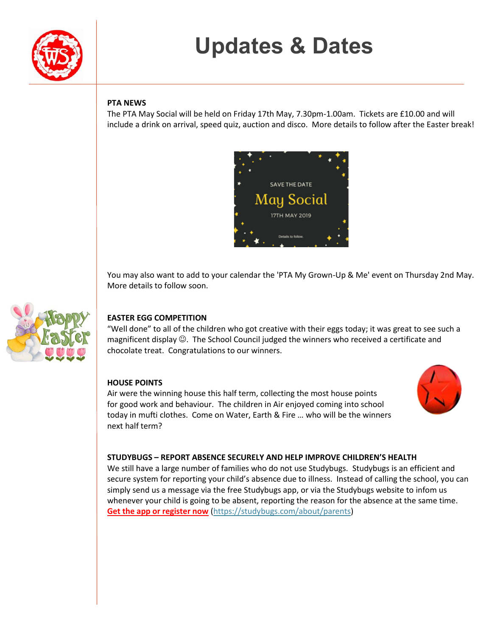

# **Updates & Dates**

### **PTA NEWS**

The PTA May Social will be held on Friday 17th May, 7.30pm-1.00am. Tickets are £10.00 and will include a drink on arrival, speed quiz, auction and disco. More details to follow after the Easter break!



You may also want to add to your calendar the 'PTA My Grown-Up & Me' event on Thursday 2nd May. More details to follow soon.



## **EASTER EGG COMPETITION**

"Well done" to all of the children who got creative with their eggs today; it was great to see such a magnificent display  $\mathbb{O}$ . The School Council judged the winners who received a certificate and chocolate treat. Congratulations to our winners.

### **HOUSE POINTS**

Air were the winning house this half term, collecting the most house points for good work and behaviour. The children in Air enjoyed coming into school today in mufti clothes. Come on Water, Earth & Fire … who will be the winners next half term?



#### **STUDYBUGS – REPORT ABSENCE SECURELY AND HELP IMPROVE CHILDREN'S HEALTH**

We still have a large number of families who do not use Studybugs. Studybugs is an efficient and secure system for reporting your child's absence due to illness. Instead of calling the school, you can simply send us a message via the free Studybugs app, or via the Studybugs website to infom us whenever your child is going to be absent, reporting the reason for the absence at the same time. **[Get the app or register now](https://studybugs.com/about/parents)** [\(https://studybugs.com/about/parents\)](https://studybugs.com/about/parents)